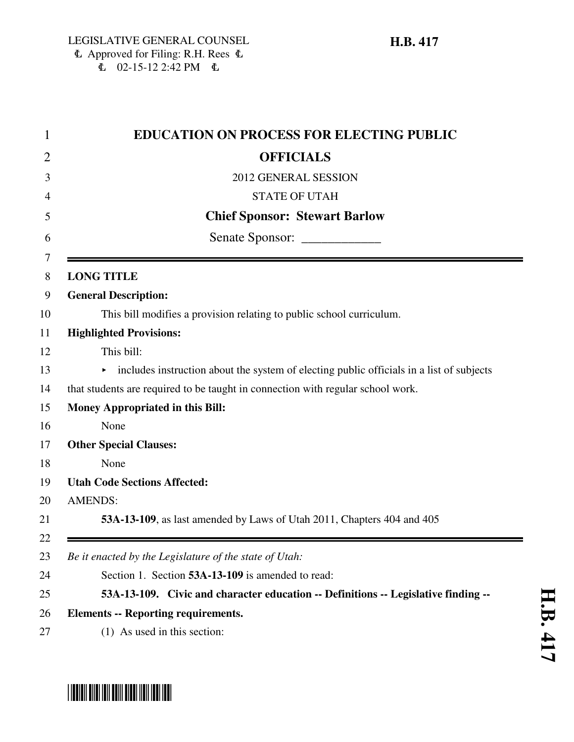### $\Phi$  Approved for Filing: R.H. Rees  $\Phi$  $E = 02 - 15 - 122.42$  PM  $E =$

| 1              | <b>EDUCATION ON PROCESS FOR ELECTING PUBLIC</b>                                          |
|----------------|------------------------------------------------------------------------------------------|
| $\overline{2}$ | <b>OFFICIALS</b>                                                                         |
| 3              | 2012 GENERAL SESSION                                                                     |
| 4              | <b>STATE OF UTAH</b>                                                                     |
| 5              | <b>Chief Sponsor: Stewart Barlow</b>                                                     |
| 6              | Senate Sponsor: _______________                                                          |
| 7<br>8         | <b>LONG TITLE</b>                                                                        |
| 9              | <b>General Description:</b>                                                              |
| 10             | This bill modifies a provision relating to public school curriculum.                     |
| 11             | <b>Highlighted Provisions:</b>                                                           |
| 12             | This bill:                                                                               |
| 13             | includes instruction about the system of electing public officials in a list of subjects |
| 14             | that students are required to be taught in connection with regular school work.          |
| 15             | <b>Money Appropriated in this Bill:</b>                                                  |
| 16             | None                                                                                     |
| 17             | <b>Other Special Clauses:</b>                                                            |
| 18             | None                                                                                     |
| 19             | <b>Utah Code Sections Affected:</b>                                                      |
| 20             | <b>AMENDS:</b>                                                                           |
| 21             | 53A-13-109, as last amended by Laws of Utah 2011, Chapters 404 and 405                   |
| 22<br>23       | Be it enacted by the Legislature of the state of Utah:                                   |
| 24             | Section 1. Section 53A-13-109 is amended to read:                                        |
| 25             | 53A-13-109. Civic and character education -- Definitions -- Legislative finding --       |
| 26             | <b>Elements -- Reporting requirements.</b>                                               |
| 27             | (1) As used in this section:                                                             |

# \*HB0417\*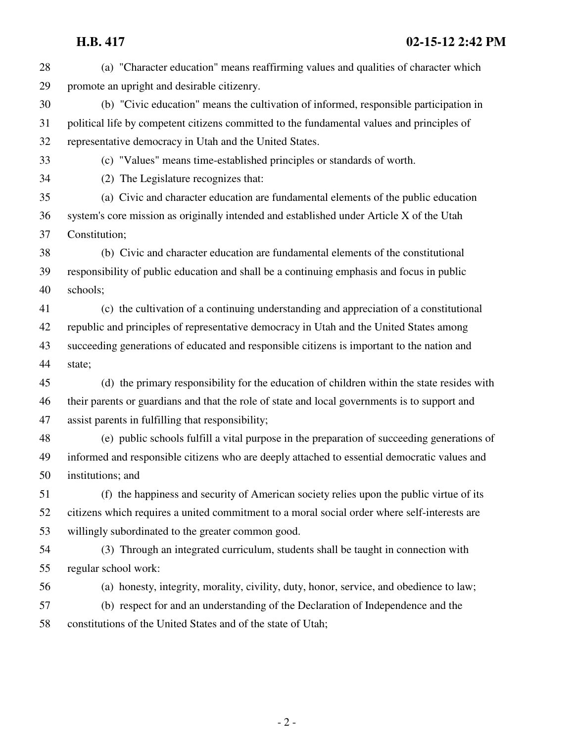| 28 | (a) "Character education" means reaffirming values and qualities of character which           |
|----|-----------------------------------------------------------------------------------------------|
| 29 | promote an upright and desirable citizenry.                                                   |
| 30 | (b) "Civic education" means the cultivation of informed, responsible participation in         |
| 31 | political life by competent citizens committed to the fundamental values and principles of    |
| 32 | representative democracy in Utah and the United States.                                       |
| 33 | (c) "Values" means time-established principles or standards of worth.                         |
| 34 | (2) The Legislature recognizes that:                                                          |
| 35 | (a) Civic and character education are fundamental elements of the public education            |
| 36 | system's core mission as originally intended and established under Article X of the Utah      |
| 37 | Constitution;                                                                                 |
| 38 | (b) Civic and character education are fundamental elements of the constitutional              |
| 39 | responsibility of public education and shall be a continuing emphasis and focus in public     |
| 40 | schools;                                                                                      |
| 41 | (c) the cultivation of a continuing understanding and appreciation of a constitutional        |
| 42 | republic and principles of representative democracy in Utah and the United States among       |
| 43 | succeeding generations of educated and responsible citizens is important to the nation and    |
| 44 | state;                                                                                        |
| 45 | (d) the primary responsibility for the education of children within the state resides with    |
| 46 | their parents or guardians and that the role of state and local governments is to support and |
| 47 | assist parents in fulfilling that responsibility;                                             |
| 48 | (e) public schools fulfill a vital purpose in the preparation of succeeding generations of    |
| 49 | informed and responsible citizens who are deeply attached to essential democratic values and  |
| 50 | institutions; and                                                                             |
| 51 | (f) the happiness and security of American society relies upon the public virtue of its       |
| 52 | citizens which requires a united commitment to a moral social order where self-interests are  |
| 53 | willingly subordinated to the greater common good.                                            |
| 54 | (3) Through an integrated curriculum, students shall be taught in connection with             |
| 55 | regular school work:                                                                          |
| 56 | (a) honesty, integrity, morality, civility, duty, honor, service, and obedience to law;       |
| 57 | (b) respect for and an understanding of the Declaration of Independence and the               |
| 58 | constitutions of the United States and of the state of Utah;                                  |
|    |                                                                                               |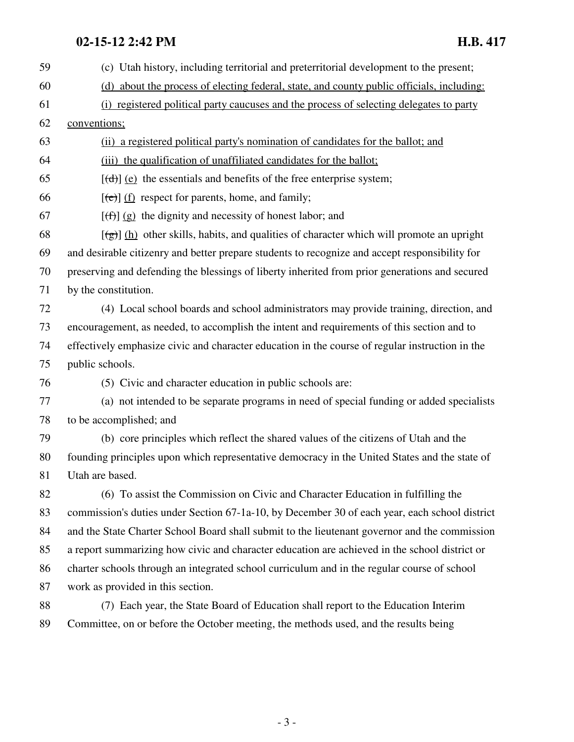# **02-15-12 2:42 PM H.B. 417**

| 59 | (c) Utah history, including territorial and preterritorial development to the present;             |
|----|----------------------------------------------------------------------------------------------------|
| 60 | (d) about the process of electing federal, state, and county public officials, including:          |
| 61 | (i) registered political party caucuses and the process of selecting delegates to party            |
| 62 | conventions;                                                                                       |
| 63 | (ii) a registered political party's nomination of candidates for the ballot; and                   |
| 64 | (iii) the qualification of unaffiliated candidates for the ballot;                                 |
| 65 | $[\text{(\text{d})}]$ (e) the essentials and benefits of the free enterprise system;               |
| 66 | $[\text{e}(\text{e})]$ (f) respect for parents, home, and family;                                  |
| 67 | $[\text{f}(\text{f})]$ (g) the dignity and necessity of honest labor; and                          |
| 68 | $[\frac{1}{2}]$ (h) other skills, habits, and qualities of character which will promote an upright |
| 69 | and desirable citizenry and better prepare students to recognize and accept responsibility for     |
| 70 | preserving and defending the blessings of liberty inherited from prior generations and secured     |
| 71 | by the constitution.                                                                               |
| 72 | (4) Local school boards and school administrators may provide training, direction, and             |
| 73 | encouragement, as needed, to accomplish the intent and requirements of this section and to         |
| 74 | effectively emphasize civic and character education in the course of regular instruction in the    |
| 75 | public schools.                                                                                    |
| 76 | (5) Civic and character education in public schools are:                                           |
| 77 | (a) not intended to be separate programs in need of special funding or added specialists           |
| 78 | to be accomplished; and                                                                            |
| 79 | (b) core principles which reflect the shared values of the citizens of Utah and the                |
| 80 | founding principles upon which representative democracy in the United States and the state of      |
| 81 | Utah are based.                                                                                    |
| 82 | (6) To assist the Commission on Civic and Character Education in fulfilling the                    |
| 83 | commission's duties under Section 67-1a-10, by December 30 of each year, each school district      |
| 84 | and the State Charter School Board shall submit to the lieutenant governor and the commission      |
| 85 | a report summarizing how civic and character education are achieved in the school district or      |
| 86 | charter schools through an integrated school curriculum and in the regular course of school        |
| 87 | work as provided in this section.                                                                  |
| 88 | (7) Each year, the State Board of Education shall report to the Education Interim                  |
| 89 | Committee, on or before the October meeting, the methods used, and the results being               |